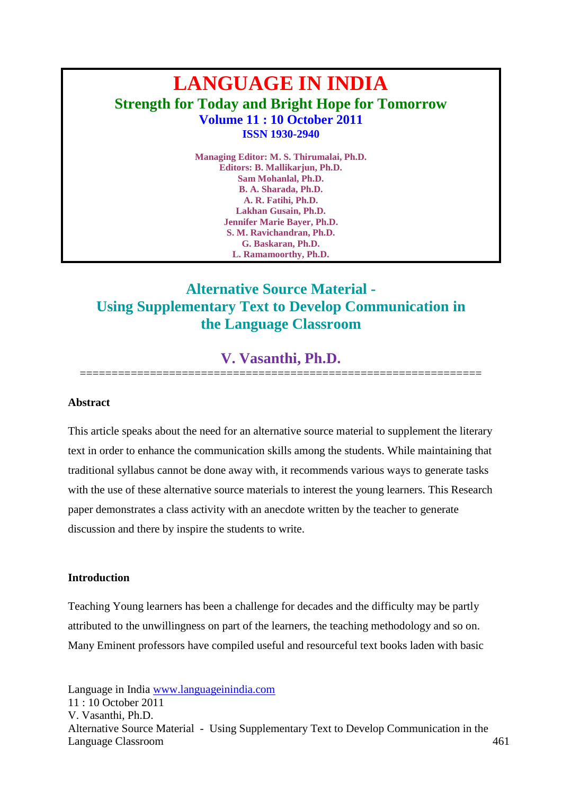# **LANGUAGE IN INDIA Strength for Today and Bright Hope for Tomorrow Volume 11 : 10 October 2011 ISSN 1930-2940**

**Managing Editor: M. S. Thirumalai, Ph.D. Editors: B. Mallikarjun, Ph.D. Sam Mohanlal, Ph.D. B. A. Sharada, Ph.D. A. R. Fatihi, Ph.D. Lakhan Gusain, Ph.D. Jennifer Marie Bayer, Ph.D. S. M. Ravichandran, Ph.D. G. Baskaran, Ph.D. L. Ramamoorthy, Ph.D.**

# **Alternative Source Material - Using Supplementary Text to Develop Communication in the Language Classroom**

# **V. Vasanthi, Ph.D.** ===============================================================

**Abstract**

This article speaks about the need for an alternative source material to supplement the literary text in order to enhance the communication skills among the students. While maintaining that traditional syllabus cannot be done away with, it recommends various ways to generate tasks with the use of these alternative source materials to interest the young learners. This Research paper demonstrates a class activity with an anecdote written by the teacher to generate discussion and there by inspire the students to write.

#### **Introduction**

Teaching Young learners has been a challenge for decades and the difficulty may be partly attributed to the unwillingness on part of the learners, the teaching methodology and so on. Many Eminent professors have compiled useful and resourceful text books laden with basic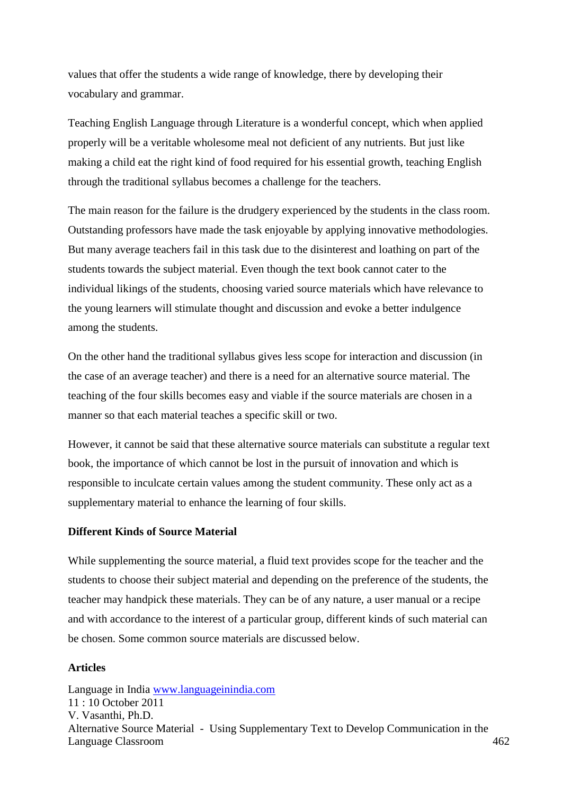values that offer the students a wide range of knowledge, there by developing their vocabulary and grammar.

Teaching English Language through Literature is a wonderful concept, which when applied properly will be a veritable wholesome meal not deficient of any nutrients. But just like making a child eat the right kind of food required for his essential growth, teaching English through the traditional syllabus becomes a challenge for the teachers.

The main reason for the failure is the drudgery experienced by the students in the class room. Outstanding professors have made the task enjoyable by applying innovative methodologies. But many average teachers fail in this task due to the disinterest and loathing on part of the students towards the subject material. Even though the text book cannot cater to the individual likings of the students, choosing varied source materials which have relevance to the young learners will stimulate thought and discussion and evoke a better indulgence among the students.

On the other hand the traditional syllabus gives less scope for interaction and discussion (in the case of an average teacher) and there is a need for an alternative source material. The teaching of the four skills becomes easy and viable if the source materials are chosen in a manner so that each material teaches a specific skill or two.

However, it cannot be said that these alternative source materials can substitute a regular text book, the importance of which cannot be lost in the pursuit of innovation and which is responsible to inculcate certain values among the student community. These only act as a supplementary material to enhance the learning of four skills.

# **Different Kinds of Source Material**

While supplementing the source material, a fluid text provides scope for the teacher and the students to choose their subject material and depending on the preference of the students, the teacher may handpick these materials. They can be of any nature, a user manual or a recipe and with accordance to the interest of a particular group, different kinds of such material can be chosen. Some common source materials are discussed below.

# **Articles**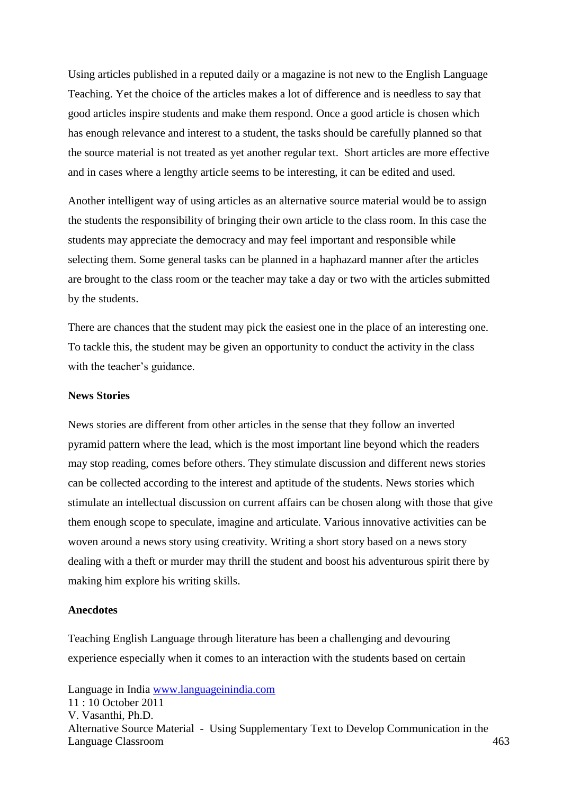Using articles published in a reputed daily or a magazine is not new to the English Language Teaching. Yet the choice of the articles makes a lot of difference and is needless to say that good articles inspire students and make them respond. Once a good article is chosen which has enough relevance and interest to a student, the tasks should be carefully planned so that the source material is not treated as yet another regular text. Short articles are more effective and in cases where a lengthy article seems to be interesting, it can be edited and used.

Another intelligent way of using articles as an alternative source material would be to assign the students the responsibility of bringing their own article to the class room. In this case the students may appreciate the democracy and may feel important and responsible while selecting them. Some general tasks can be planned in a haphazard manner after the articles are brought to the class room or the teacher may take a day or two with the articles submitted by the students.

There are chances that the student may pick the easiest one in the place of an interesting one. To tackle this, the student may be given an opportunity to conduct the activity in the class with the teacher's guidance.

#### **News Stories**

News stories are different from other articles in the sense that they follow an inverted pyramid pattern where the lead, which is the most important line beyond which the readers may stop reading, comes before others. They stimulate discussion and different news stories can be collected according to the interest and aptitude of the students. News stories which stimulate an intellectual discussion on current affairs can be chosen along with those that give them enough scope to speculate, imagine and articulate. Various innovative activities can be woven around a news story using creativity. Writing a short story based on a news story dealing with a theft or murder may thrill the student and boost his adventurous spirit there by making him explore his writing skills.

#### **Anecdotes**

Teaching English Language through literature has been a challenging and devouring experience especially when it comes to an interaction with the students based on certain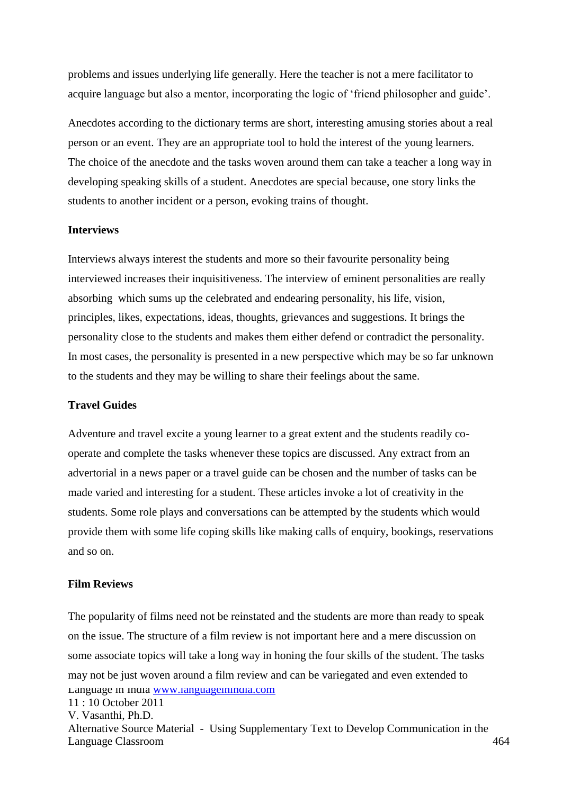problems and issues underlying life generally. Here the teacher is not a mere facilitator to acquire language but also a mentor, incorporating the logic of 'friend philosopher and guide'.

Anecdotes according to the dictionary terms are short, interesting amusing stories about a real person or an event. They are an appropriate tool to hold the interest of the young learners. The choice of the anecdote and the tasks woven around them can take a teacher a long way in developing speaking skills of a student. Anecdotes are special because, one story links the students to another incident or a person, evoking trains of thought.

#### **Interviews**

Interviews always interest the students and more so their favourite personality being interviewed increases their inquisitiveness. The interview of eminent personalities are really absorbing which sums up the celebrated and endearing personality, his life, vision, principles, likes, expectations, ideas, thoughts, grievances and suggestions. It brings the personality close to the students and makes them either defend or contradict the personality. In most cases, the personality is presented in a new perspective which may be so far unknown to the students and they may be willing to share their feelings about the same.

# **Travel Guides**

Adventure and travel excite a young learner to a great extent and the students readily cooperate and complete the tasks whenever these topics are discussed. Any extract from an advertorial in a news paper or a travel guide can be chosen and the number of tasks can be made varied and interesting for a student. These articles invoke a lot of creativity in the students. Some role plays and conversations can be attempted by the students which would provide them with some life coping skills like making calls of enquiry, bookings, reservations and so on.

# **Film Reviews**

Language in India [www.languageinindia.com](http://www.languageinindia.com/) 11 : 10 October 2011 V. Vasanthi, Ph.D. Alternative Source Material - Using Supplementary Text to Develop Communication in the Language Classroom 464 The popularity of films need not be reinstated and the students are more than ready to speak on the issue. The structure of a film review is not important here and a mere discussion on some associate topics will take a long way in honing the four skills of the student. The tasks may not be just woven around a film review and can be variegated and even extended to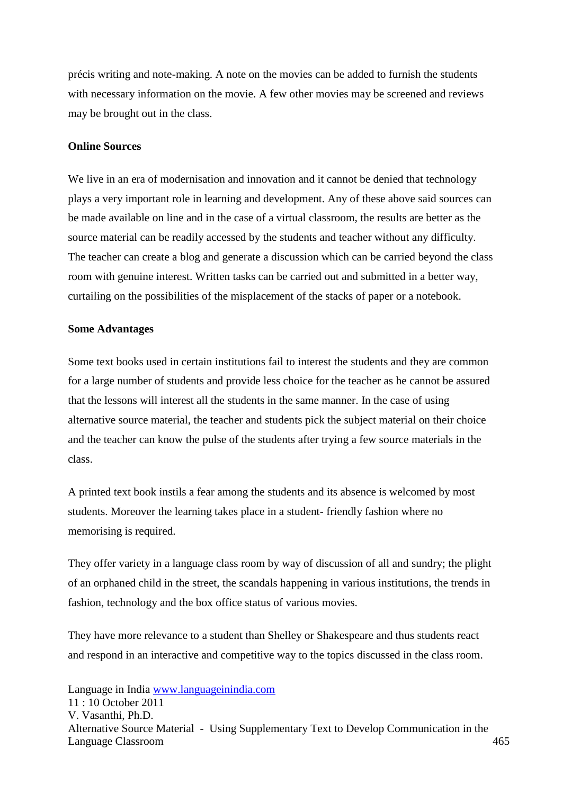précis writing and note-making. A note on the movies can be added to furnish the students with necessary information on the movie. A few other movies may be screened and reviews may be brought out in the class.

#### **Online Sources**

We live in an era of modernisation and innovation and it cannot be denied that technology plays a very important role in learning and development. Any of these above said sources can be made available on line and in the case of a virtual classroom, the results are better as the source material can be readily accessed by the students and teacher without any difficulty. The teacher can create a blog and generate a discussion which can be carried beyond the class room with genuine interest. Written tasks can be carried out and submitted in a better way, curtailing on the possibilities of the misplacement of the stacks of paper or a notebook.

#### **Some Advantages**

Some text books used in certain institutions fail to interest the students and they are common for a large number of students and provide less choice for the teacher as he cannot be assured that the lessons will interest all the students in the same manner. In the case of using alternative source material, the teacher and students pick the subject material on their choice and the teacher can know the pulse of the students after trying a few source materials in the class.

A printed text book instils a fear among the students and its absence is welcomed by most students. Moreover the learning takes place in a student- friendly fashion where no memorising is required.

They offer variety in a language class room by way of discussion of all and sundry; the plight of an orphaned child in the street, the scandals happening in various institutions, the trends in fashion, technology and the box office status of various movies.

They have more relevance to a student than Shelley or Shakespeare and thus students react and respond in an interactive and competitive way to the topics discussed in the class room.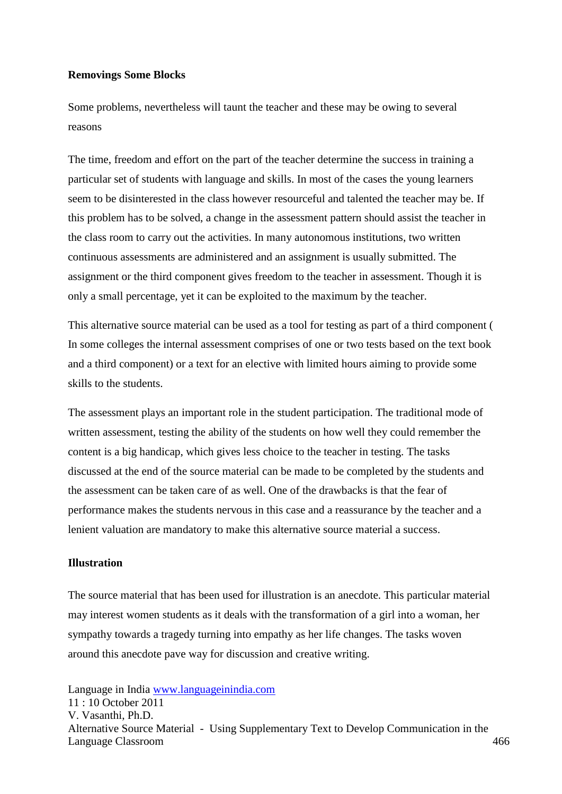#### **Removings Some Blocks**

Some problems, nevertheless will taunt the teacher and these may be owing to several reasons

The time, freedom and effort on the part of the teacher determine the success in training a particular set of students with language and skills. In most of the cases the young learners seem to be disinterested in the class however resourceful and talented the teacher may be. If this problem has to be solved, a change in the assessment pattern should assist the teacher in the class room to carry out the activities. In many autonomous institutions, two written continuous assessments are administered and an assignment is usually submitted. The assignment or the third component gives freedom to the teacher in assessment. Though it is only a small percentage, yet it can be exploited to the maximum by the teacher.

This alternative source material can be used as a tool for testing as part of a third component ( In some colleges the internal assessment comprises of one or two tests based on the text book and a third component) or a text for an elective with limited hours aiming to provide some skills to the students.

The assessment plays an important role in the student participation. The traditional mode of written assessment, testing the ability of the students on how well they could remember the content is a big handicap, which gives less choice to the teacher in testing. The tasks discussed at the end of the source material can be made to be completed by the students and the assessment can be taken care of as well. One of the drawbacks is that the fear of performance makes the students nervous in this case and a reassurance by the teacher and a lenient valuation are mandatory to make this alternative source material a success.

# **Illustration**

The source material that has been used for illustration is an anecdote. This particular material may interest women students as it deals with the transformation of a girl into a woman, her sympathy towards a tragedy turning into empathy as her life changes. The tasks woven around this anecdote pave way for discussion and creative writing.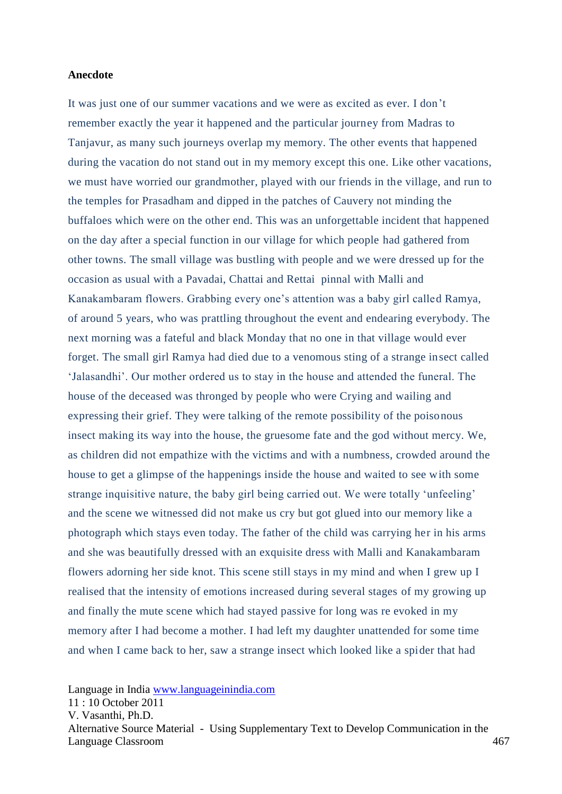#### **Anecdote**

It was just one of our summer vacations and we were as excited as ever. I don't remember exactly the year it happened and the particular journey from Madras to Tanjavur, as many such journeys overlap my memory. The other events that happened during the vacation do not stand out in my memory except this one. Like other vacations, we must have worried our grandmother, played with our friends in the village, and run to the temples for Prasadham and dipped in the patches of Cauvery not minding the buffaloes which were on the other end. This was an unforgettable incident that happened on the day after a special function in our village for which people had gathered from other towns. The small village was bustling with people and we were dressed up for the occasion as usual with a Pavadai, Chattai and Rettai pinnal with Malli and Kanakambaram flowers. Grabbing every one's attention was a baby girl called Ramya, of around 5 years, who was prattling throughout the event and endearing everybody. The next morning was a fateful and black Monday that no one in that village would ever forget. The small girl Ramya had died due to a venomous sting of a strange insect called 'Jalasandhi'. Our mother ordered us to stay in the house and attended the funeral. The house of the deceased was thronged by people who were Crying and wailing and expressing their grief. They were talking of the remote possibility of the poisonous insect making its way into the house, the gruesome fate and the god without mercy. We, as children did not empathize with the victims and with a numbness, crowded around the house to get a glimpse of the happenings inside the house and waited to see with some strange inquisitive nature, the baby girl being carried out. We were totally 'unfeeling' and the scene we witnessed did not make us cry but got glued into our memory like a photograph which stays even today. The father of the child was carrying her in his arms and she was beautifully dressed with an exquisite dress with Malli and Kanakambaram flowers adorning her side knot. This scene still stays in my mind and when I grew up I realised that the intensity of emotions increased during several stages of my growing up and finally the mute scene which had stayed passive for long was re evoked in my memory after I had become a mother. I had left my daughter unattended for some time and when I came back to her, saw a strange insect which looked like a spider that had

Language in India [www.languageinindia.com](http://www.languageinindia.com/)

11 : 10 October 2011 V. Vasanthi, Ph.D. Alternative Source Material - Using Supplementary Text to Develop Communication in the Language Classroom 467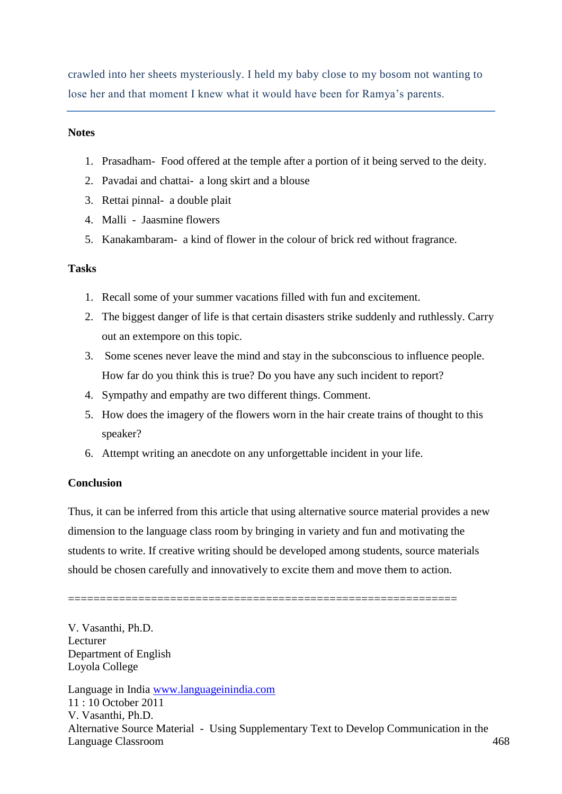crawled into her sheets mysteriously. I held my baby close to my bosom not wanting to lose her and that moment I knew what it would have been for Ramya's parents.

# **Notes**

- 1. Prasadham- Food offered at the temple after a portion of it being served to the deity.
- 2. Pavadai and chattai- a long skirt and a blouse
- 3. Rettai pinnal- a double plait
- 4. Malli Jaasmine flowers
- 5. Kanakambaram- a kind of flower in the colour of brick red without fragrance.

# **Tasks**

- 1. Recall some of your summer vacations filled with fun and excitement.
- 2. The biggest danger of life is that certain disasters strike suddenly and ruthlessly. Carry out an extempore on this topic.
- 3. Some scenes never leave the mind and stay in the subconscious to influence people. How far do you think this is true? Do you have any such incident to report?
- 4. Sympathy and empathy are two different things. Comment.
- 5. How does the imagery of the flowers worn in the hair create trains of thought to this speaker?
- 6. Attempt writing an anecdote on any unforgettable incident in your life.

# **Conclusion**

Thus, it can be inferred from this article that using alternative source material provides a new dimension to the language class room by bringing in variety and fun and motivating the students to write. If creative writing should be developed among students, source materials should be chosen carefully and innovatively to excite them and move them to action.

=============================================================

Language in India [www.languageinindia.com](http://www.languageinindia.com/) 11 : 10 October 2011 V. Vasanthi, Ph.D. Alternative Source Material - Using Supplementary Text to Develop Communication in the Language Classroom 468 V. Vasanthi, Ph.D. Lecturer Department of English Loyola College